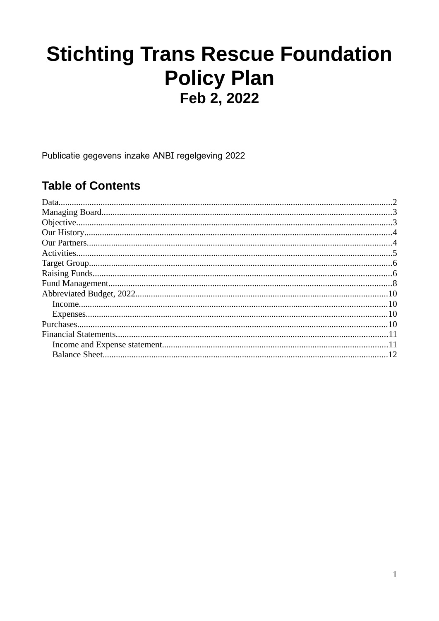# **Stichting Trans Rescue Foundation Policy Plan** Feb 2, 2022

Publicatie gegevens inzake ANBI regelgeving 2022

#### **Table of Contents**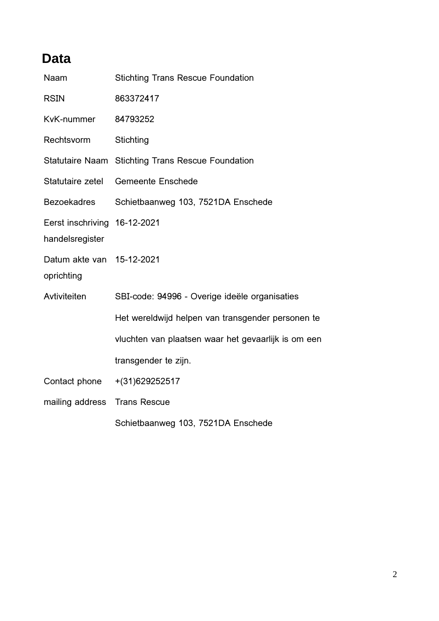# <span id="page-1-0"></span>**Data**

| Naam                                            | <b>Stichting Trans Rescue Foundation</b>                 |
|-------------------------------------------------|----------------------------------------------------------|
| <b>RSIN</b>                                     | 863372417                                                |
| KvK-nummer                                      | 84793252                                                 |
| Rechtsvorm                                      | Stichting                                                |
|                                                 | <b>Statutaire Naam Stichting Trans Rescue Foundation</b> |
| Statutaire zetel                                | <b>Gemeente Enschede</b>                                 |
| <b>Bezoekadres</b>                              | Schietbaanweg 103, 7521DA Enschede                       |
| Eerst inschriving 16-12-2021<br>handelsregister |                                                          |
| Datum akte van 15-12-2021<br>oprichting         |                                                          |
| Avtiviteiten                                    | SBI-code: 94996 - Overige ideële organisaties            |
|                                                 | Het wereldwijd helpen van transgender personen te        |
|                                                 | vluchten van plaatsen waar het gevaarlijk is om een      |
|                                                 | transgender te zijn.                                     |
| Contact phone                                   | $+(31)629252517$                                         |
| mailing address                                 | <b>Trans Rescue</b>                                      |
|                                                 | Schietbaanweg 103, 7521DA Enschede                       |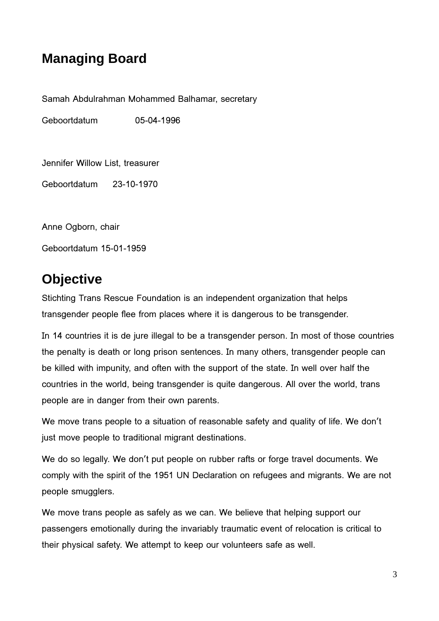# <span id="page-2-1"></span>**Managing Board**

Samah Abdulrahman Mohammed Balhamar, secretary

Geboortdatum 05-04-1996

Jennifer Willow List, treasurer

Geboortdatum 23-10-1970

Anne Ogborn, chair

Geboortdatum 15-01-1959

### <span id="page-2-0"></span>**Objective**

Stichting Trans Rescue Foundation is an independent organization that helps transgender people flee from places where it is dangerous to be transgender.

In 14 countries it is de jure illegal to be a transgender person. In most of those countries the penalty is death or long prison sentences. In many others, transgender people can be killed with impunity, and often with the support of the state. In well over half the countries in the world, being transgender is quite dangerous. All over the world, trans people are in danger from their own parents.

We move trans people to a situation of reasonable safety and quality of life. We don't just move people to traditional migrant destinations.

We do so legally. We don't put people on rubber rafts or forge travel documents. We comply with the spirit of the 1951 UN Declaration on refugees and migrants. We are not people smugglers.

We move trans people as safely as we can. We believe that helping support our passengers emotionally during the invariably traumatic event of relocation is critical to their physical safety. We attempt to keep our volunteers safe as well.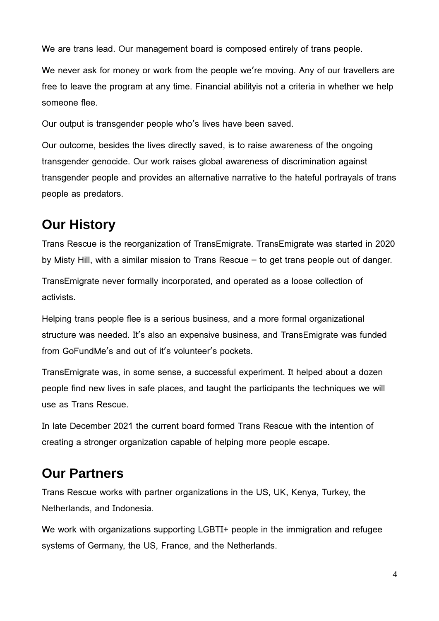We are trans lead. Our management board is composed entirely of trans people.

We never ask for money or work from the people we're moving. Any of our travellers are free to leave the program at any time. Financial abilityis not a criteria in whether we help someone flee.

Our output is transgender people who's lives have been saved.

Our outcome, besides the lives directly saved, is to raise awareness of the ongoing transgender genocide. Our work raises global awareness of discrimination against transgender people and provides an alternative narrative to the hateful portrayals of trans people as predators.

### <span id="page-3-1"></span>**Our History**

Trans Rescue is the reorganization of TransEmigrate. TransEmigrate was started in 2020 by Misty Hill, with a similar mission to Trans Rescue – to get trans people out of danger.

TransEmigrate never formally incorporated, and operated as a loose collection of activists.

Helping trans people flee is a serious business, and a more formal organizational structure was needed. It's also an expensive business, and TransEmigrate was funded from GoFundMe's and out of it's volunteer's pockets.

TransEmigrate was, in some sense, a successful experiment. It helped about a dozen people find new lives in safe places, and taught the participants the techniques we will use as Trans Rescue.

In late December 2021 the current board formed Trans Rescue with the intention of creating a stronger organization capable of helping more people escape.

#### <span id="page-3-0"></span>**Our Partners**

Trans Rescue works with partner organizations in the US, UK, Kenya, Turkey, the Netherlands, and Indonesia.

We work with organizations supporting LGBTI+ people in the immigration and refugee systems of Germany, the US, France, and the Netherlands.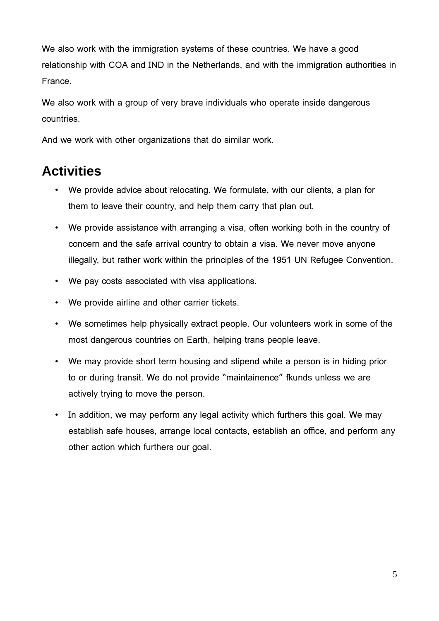We also work with the immigration systems of these countries. We have a good relationship with COA and IND in the Netherlands, and with the immigration authorities in France.

We also work with a group of very brave individuals who operate inside dangerous countries.

And we work with other organizations that do similar work.

## <span id="page-4-0"></span>**Activities**

- We provide advice about relocating. We formulate, with our clients, a plan for them to leave their country, and help them carry that plan out.
- We provide assistance with arranging a visa, often working both in the country of concern and the safe arrival country to obtain a visa. We never move anyone illegally, but rather work within the principles of the 1951 UN Refugee Convention.
- We pay costs associated with visa applications.
- We provide airline and other carrier tickets.
- We sometimes help physically extract people. Our volunteers work in some of the most dangerous countries on Earth, helping trans people leave.
- We may provide short term housing and stipend while a person is in hiding prior to or during transit. We do not provide "maintainence" fkunds unless we are actively trying to move the person.
- In addition, we may perform any legal activity which furthers this goal. We may establish safe houses, arrange local contacts, establish an office, and perform any other action which furthers our goal.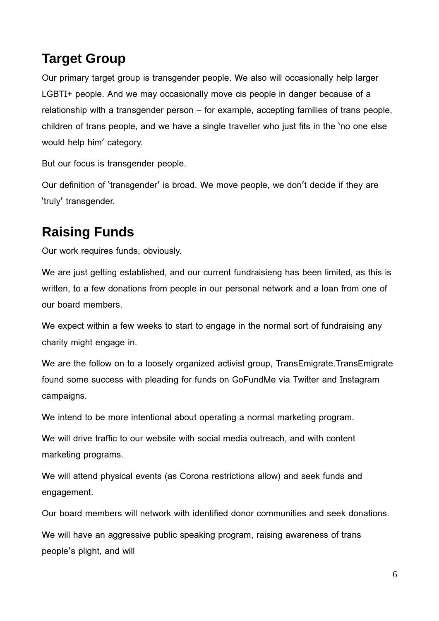# <span id="page-5-1"></span>**Target Group**

Our primary target group is transgender people. We also will occasionally help larger LGBTI+ people. And we may occasionally move cis people in danger because of a relationship with a transgender person – for example, accepting families of trans people, children of trans people, and we have a single traveller who just fits in the 'no one else would help him' category.

But our focus is transgender people.

Our definition of 'transgender' is broad. We move people, we don't decide if they are 'truly' transgender.

# <span id="page-5-0"></span>**Raising Funds**

Our work requires funds, obviously.

We are just getting established, and our current fundraisieng has been limited, as this is written, to a few donations from people in our personal network and a loan from one of our board members.

We expect within a few weeks to start to engage in the normal sort of fundraising any charity might engage in.

We are the follow on to a loosely organized activist group, TransEmigrate.TransEmigrate found some success with pleading for funds on GoFundMe via Twitter and Instagram campaigns.

We intend to be more intentional about operating a normal marketing program.

We will drive traffic to our website with social media outreach, and with content marketing programs.

We will attend physical events (as Corona restrictions allow) and seek funds and engagement.

Our board members will network with identified donor communities and seek donations.

We will have an aggressive public speaking program, raising awareness of trans people's plight, and will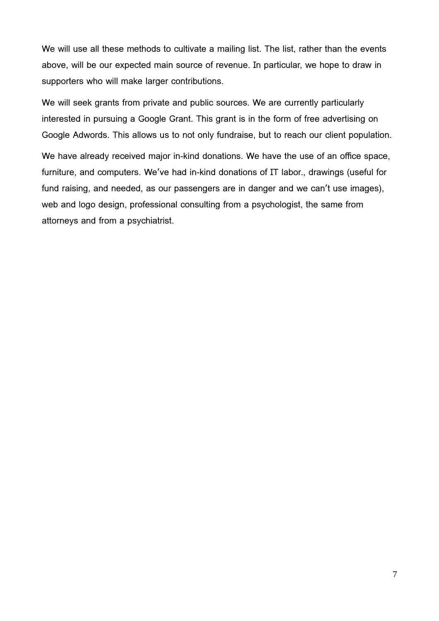We will use all these methods to cultivate a mailing list. The list, rather than the events above, will be our expected main source of revenue. In particular, we hope to draw in supporters who will make larger contributions.

We will seek grants from private and public sources. We are currently particularly interested in pursuing a Google Grant. This grant is in the form of free advertising on Google Adwords. This allows us to not only fundraise, but to reach our client population.

We have already received major in-kind donations. We have the use of an office space, furniture, and computers. We've had in-kind donations of IT labor., drawings (useful for fund raising, and needed, as our passengers are in danger and we can't use images), web and logo design, professional consulting from a psychologist, the same from attorneys and from a psychiatrist.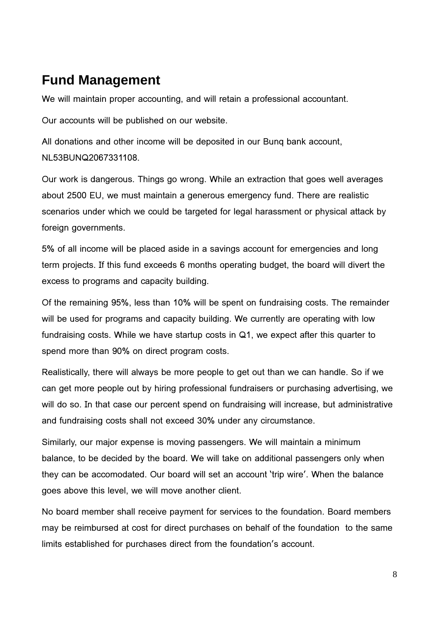#### <span id="page-7-0"></span>**Fund Management**

We will maintain proper accounting, and will retain a professional accountant.

Our accounts will be published on our website.

All donations and other income will be deposited in our Bunq bank account, NL53BUNQ2067331108.

Our work is dangerous. Things go wrong. While an extraction that goes well averages about 2500 EU, we must maintain a generous emergency fund. There are realistic scenarios under which we could be targeted for legal harassment or physical attack by foreign governments.

5% of all income will be placed aside in a savings account for emergencies and long term projects. If this fund exceeds 6 months operating budget, the board will divert the excess to programs and capacity building.

Of the remaining 95%, less than 10% will be spent on fundraising costs. The remainder will be used for programs and capacity building. We currently are operating with low fundraising costs. While we have startup costs in Q1, we expect after this quarter to spend more than 90% on direct program costs.

Realistically, there will always be more people to get out than we can handle. So if we can get more people out by hiring professional fundraisers or purchasing advertising, we will do so. In that case our percent spend on fundraising will increase, but administrative and fundraising costs shall not exceed 30% under any circumstance.

Similarly, our major expense is moving passengers. We will maintain a minimum balance, to be decided by the board. We will take on additional passengers only when they can be accomodated. Our board will set an account 'trip wire'. When the balance goes above this level, we will move another client.

No board member shall receive payment for services to the foundation. Board members may be reimbursed at cost for direct purchases on behalf of the foundation to the same limits established for purchases direct from the foundation's account.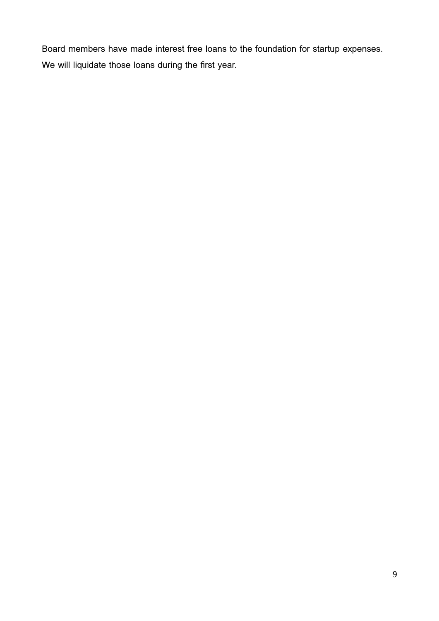Board members have made interest free loans to the foundation for startup expenses. We will liquidate those loans during the first year.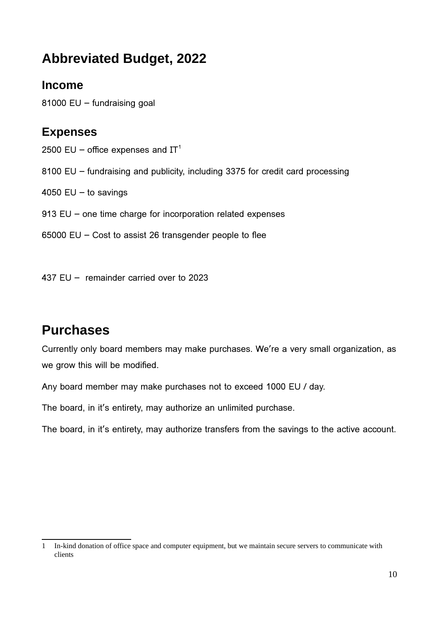# <span id="page-9-3"></span>**Abbreviated Budget, 2022**

#### <span id="page-9-2"></span>**Income**

81000 EU – fundraising goal

#### <span id="page-9-1"></span>**Expenses**

2500 EU – office expenses and  $IT<sup>1</sup>$  $IT<sup>1</sup>$  $IT<sup>1</sup>$ 

- 8100 EU fundraising and publicity, including 3375 for credit card processing
- 4050  $EU to$  savings
- 913 EU one time charge for incorporation related expenses
- 65000 EU Cost to assist 26 transgender people to flee

437 EU – remainder carried over to 2023

#### <span id="page-9-0"></span>**Purchases**

Currently only board members may make purchases. We're a very small organization, as we grow this will be modified.

Any board member may make purchases not to exceed 1000 EU / day.

The board, in it's entirety, may authorize an unlimited purchase.

The board, in it's entirety, may authorize transfers from the savings to the active account.

<span id="page-9-4"></span><sup>1</sup> In-kind donation of office space and computer equipment, but we maintain secure servers to communicate with clients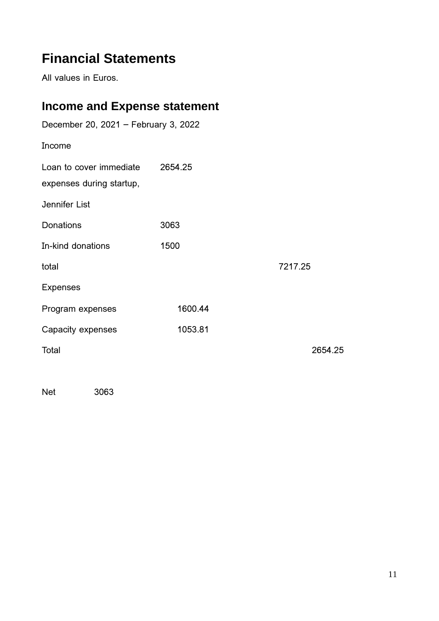# <span id="page-10-1"></span>**Financial Statements**

All values in Euros.

# <span id="page-10-0"></span>**Income and Expense statement**

| December 20, 2021 - February 3, 2022                |         |         |  |  |
|-----------------------------------------------------|---------|---------|--|--|
| Income                                              |         |         |  |  |
| Loan to cover immediate<br>expenses during startup, | 2654.25 |         |  |  |
| Jennifer List                                       |         |         |  |  |
| <b>Donations</b>                                    | 3063    |         |  |  |
| In-kind donations                                   | 1500    |         |  |  |
| total                                               |         | 7217.25 |  |  |
| <b>Expenses</b>                                     |         |         |  |  |
| Program expenses                                    | 1600.44 |         |  |  |
| Capacity expenses                                   | 1053.81 |         |  |  |
| Total                                               |         | 2654.25 |  |  |

Net 3063